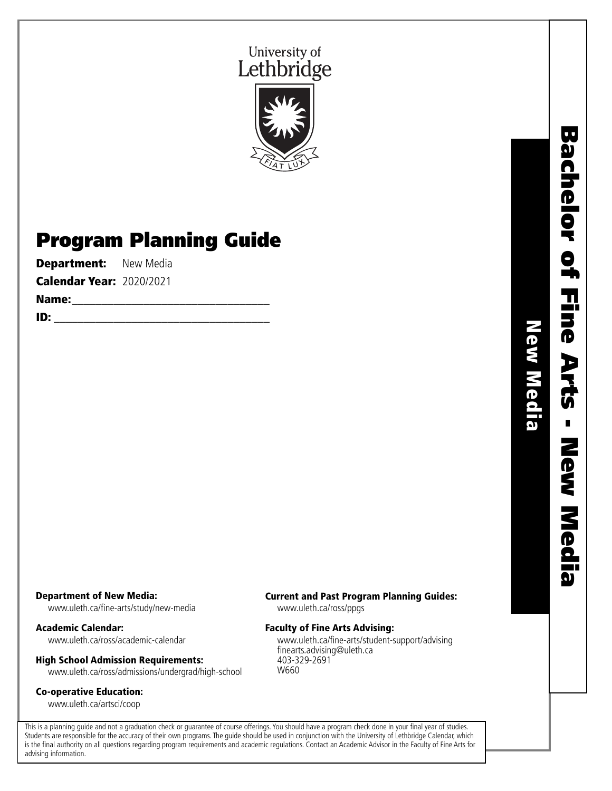



# Program Planning Guide

**Department:** New Media

Calendar Year: 2020/2021

Name:\_\_\_\_\_\_\_\_\_\_\_\_\_\_\_\_\_\_\_\_\_\_\_\_\_\_\_\_\_\_\_\_\_

ID: \_\_\_\_\_\_\_\_\_\_\_\_\_\_\_\_\_\_\_\_\_\_\_\_\_\_\_\_\_\_\_\_\_\_\_\_

New Media

New Media

#### Department of New Media:

www.uleth.ca/fine-arts/study/new-media

Academic Calendar: www.uleth.ca/ross/academic-calendar

# High School Admission Requirements:

www.uleth.ca/ross/admissions/undergrad/high-school

#### Co-operative Education:

www.uleth.ca/artsci/coop

### Current and Past Program Planning Guides:

www.uleth.ca/ross/ppgs

#### Faculty of Fine Arts Advising:

www.uleth.ca/fine-arts/student-support/advising finearts.advising@uleth.ca 403-329-2691 W660

This is a planning guide and not a graduation check or guarantee of course offerings. You should have a program check done in your final year of studies. Students are responsible for the accuracy of their own programs. The guide should be used in conjunction with the University of Lethbridge Calendar, which is the final authority on all questions regarding program requirements and academic regulations. Contact an Academic Advisor in the Faculty of Fine Arts for advising information.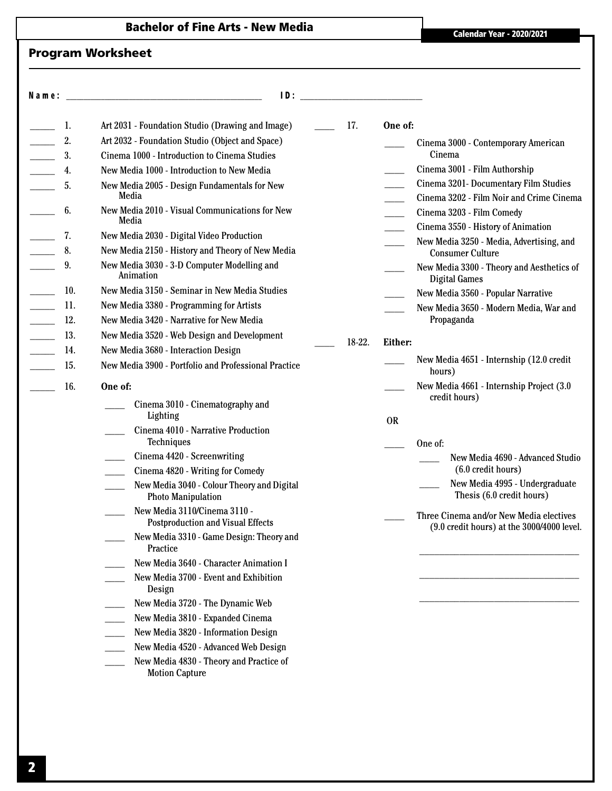# Bachelor of Fine Arts - New Media **Calendar Year - 2020/2021**

## Program Worksheet

| Name: |     | ID:                                                                      |        |                                                                                       |
|-------|-----|--------------------------------------------------------------------------|--------|---------------------------------------------------------------------------------------|
|       | 1.  | Art 2031 - Foundation Studio (Drawing and Image)                         | 17.    | One of:                                                                               |
|       | 2.  | Art 2032 - Foundation Studio (Object and Space)                          |        | Cinema 3000 - Contemporary American                                                   |
|       | 3.  | Cinema 1000 - Introduction to Cinema Studies                             |        | Cinema                                                                                |
|       | 4.  | New Media 1000 - Introduction to New Media                               |        | Cinema 3001 - Film Authorship                                                         |
|       | 5.  | New Media 2005 - Design Fundamentals for New<br>Media                    |        | Cinema 3201- Documentary Film Studies<br>Cinema 3202 - Film Noir and Crime Cinema     |
|       | 6.  | New Media 2010 - Visual Communications for New<br>Media                  |        | Cinema 3203 - Film Comedy<br>Cinema 3550 - History of Animation                       |
|       | 7.  | New Media 2030 - Digital Video Production                                |        | New Media 3250 - Media, Advertising, and                                              |
|       | 8.  | New Media 2150 - History and Theory of New Media                         |        | <b>Consumer Culture</b>                                                               |
|       | 9.  | New Media 3030 - 3-D Computer Modelling and<br>Animation                 |        | New Media 3300 - Theory and Aesthetics of<br><b>Digital Games</b>                     |
|       | 10. | New Media 3150 - Seminar in New Media Studies                            |        | New Media 3560 - Popular Narrative                                                    |
|       | 11. | New Media 3380 - Programming for Artists                                 |        | New Media 3650 - Modern Media, War and                                                |
|       | 12. | New Media 3420 - Narrative for New Media                                 |        | Propaganda                                                                            |
|       | 13. | New Media 3520 - Web Design and Development                              | 18-22. | Either:                                                                               |
|       | 14. | New Media 3680 - Interaction Design                                      |        |                                                                                       |
|       | 15. | New Media 3900 - Portfolio and Professional Practice                     |        | New Media 4651 - Internship (12.0 credit<br>hours)                                    |
|       | 16. | One of:                                                                  |        | New Media 4661 - Internship Project (3.0<br>credit hours)                             |
|       |     | Cinema 3010 - Cinematography and<br>Lighting                             |        |                                                                                       |
|       |     | Cinema 4010 - Narrative Production                                       |        | <b>OR</b>                                                                             |
|       |     | Techniques                                                               |        | One of:                                                                               |
|       |     | Cinema 4420 - Screenwriting                                              |        | New Media 4690 - Advanced Studio                                                      |
|       |     | Cinema 4820 - Writing for Comedy                                         |        | (6.0 credit hours)                                                                    |
|       |     | New Media 3040 - Colour Theory and Digital<br><b>Photo Manipulation</b>  |        | New Media 4995 - Undergraduate<br>Thesis (6.0 credit hours)                           |
|       |     | New Media 3110/Cinema 3110 -<br><b>Postproduction and Visual Effects</b> |        | Three Cinema and/or New Media electives<br>(9.0 credit hours) at the 3000/4000 level. |
|       |     | New Media 3310 - Game Design: Theory and<br>Practice                     |        |                                                                                       |
|       |     | New Media 3640 - Character Animation I                                   |        |                                                                                       |
|       |     | New Media 3700 - Event and Exhibition<br>Design                          |        |                                                                                       |
|       |     | New Media 3720 - The Dynamic Web                                         |        |                                                                                       |
|       |     | New Media 3810 - Expanded Cinema                                         |        |                                                                                       |
|       |     | New Media 3820 - Information Design                                      |        |                                                                                       |
|       |     | New Media 4520 - Advanced Web Design                                     |        |                                                                                       |
|       |     | New Media 4830 - Theory and Practice of<br><b>Motion Capture</b>         |        |                                                                                       |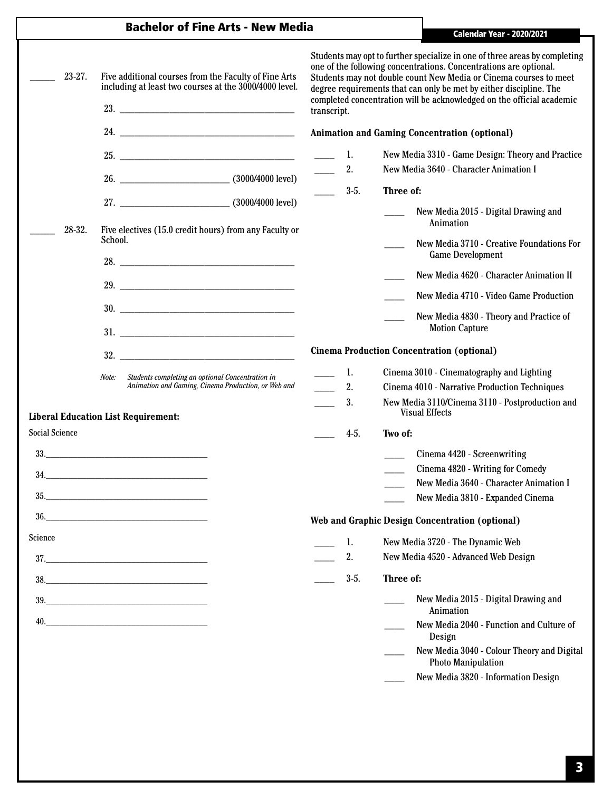## Bachelor of Fine Arts - New Media

Calendar Year - 2020/2021

| 23-27.                                            | Five additional courses from the Faculty of Fine Arts<br>including at least two courses at the 3000/4000 level.<br>23.                                                                                                                                                                                                                                            |                                                                                                         | transcript. | Students may opt to further specialize in one of three areas by completing<br>one of the following concentrations. Concentrations are optional.<br>Students may not double count New Media or Cinema courses to meet<br>degree requirements that can only be met by either discipline. The<br>completed concentration will be acknowledged on the official academic |                                                                                                                                                                                                                                                                                                                                                                                                                                                                                                                                                                                                                                                                                                                                                                                                                                                                                                                                                                                                                                        |
|---------------------------------------------------|-------------------------------------------------------------------------------------------------------------------------------------------------------------------------------------------------------------------------------------------------------------------------------------------------------------------------------------------------------------------|---------------------------------------------------------------------------------------------------------|-------------|---------------------------------------------------------------------------------------------------------------------------------------------------------------------------------------------------------------------------------------------------------------------------------------------------------------------------------------------------------------------|----------------------------------------------------------------------------------------------------------------------------------------------------------------------------------------------------------------------------------------------------------------------------------------------------------------------------------------------------------------------------------------------------------------------------------------------------------------------------------------------------------------------------------------------------------------------------------------------------------------------------------------------------------------------------------------------------------------------------------------------------------------------------------------------------------------------------------------------------------------------------------------------------------------------------------------------------------------------------------------------------------------------------------------|
|                                                   | 24.                                                                                                                                                                                                                                                                                                                                                               |                                                                                                         |             |                                                                                                                                                                                                                                                                                                                                                                     | <b>Animation and Gaming Concentration (optional)</b>                                                                                                                                                                                                                                                                                                                                                                                                                                                                                                                                                                                                                                                                                                                                                                                                                                                                                                                                                                                   |
| 28-32.<br><b>Social Science</b><br>35.<br>Science | 25.<br>Five electives (15.0 credit hours) from any Faculty or<br>School.<br>Note:<br><b>Liberal Education List Requirement:</b><br>34.<br><u> 2000 - 2000 - 2000 - 2000 - 2000 - 2000 - 2000 - 2000 - 2000 - 2000 - 2000 - 2000 - 2000 - 2000 - 2000 - 200</u><br>$\begin{tabular}{c} 36. \end{tabular}$<br>$38. \qquad \qquad \overbrace{\qquad \qquad }$<br>40. | Students completing an optional Concentration in<br>Animation and Gaming, Cinema Production, or Web and |             | 1.<br>2.<br>$3-5.$<br>1.<br>2.<br>3.<br>$4-5.$<br>1.<br>2.<br>$3-5.$                                                                                                                                                                                                                                                                                                | New Media 3310 - Game Design: Theory and Practice<br>New Media 3640 - Character Animation I<br>Three of:<br>New Media 2015 - Digital Drawing and<br>Animation<br>New Media 3710 - Creative Foundations For<br><b>Game Development</b><br>New Media 4620 - Character Animation II<br>New Media 4710 - Video Game Production<br>New Media 4830 - Theory and Practice of<br><b>Motion Capture</b><br><b>Cinema Production Concentration (optional)</b><br>Cinema 3010 - Cinematography and Lighting<br>Cinema 4010 - Narrative Production Techniques<br>New Media 3110/Cinema 3110 - Postproduction and<br><b>Visual Effects</b><br>Two of:<br>Cinema 4420 - Screenwriting<br>Cinema 4820 - Writing for Comedy<br>New Media 3640 - Character Animation I<br>New Media 3810 - Expanded Cinema<br>Web and Graphic Design Concentration (optional)<br>New Media 3720 - The Dynamic Web<br>New Media 4520 - Advanced Web Design<br>Three of:<br>New Media 2015 - Digital Drawing and<br>Animation<br>New Media 2040 - Function and Culture of |
|                                                   |                                                                                                                                                                                                                                                                                                                                                                   |                                                                                                         |             |                                                                                                                                                                                                                                                                                                                                                                     | Design<br>New Media 3040 - Colour Theory and Digital<br><b>Photo Manipulation</b>                                                                                                                                                                                                                                                                                                                                                                                                                                                                                                                                                                                                                                                                                                                                                                                                                                                                                                                                                      |
|                                                   |                                                                                                                                                                                                                                                                                                                                                                   |                                                                                                         |             |                                                                                                                                                                                                                                                                                                                                                                     | New Media 3820 - Information Design                                                                                                                                                                                                                                                                                                                                                                                                                                                                                                                                                                                                                                                                                                                                                                                                                                                                                                                                                                                                    |